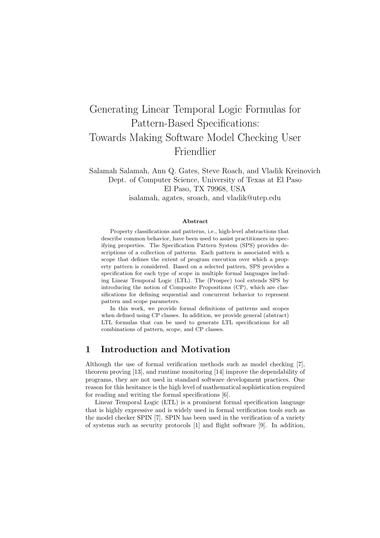# Generating Linear Temporal Logic Formulas for Pattern-Based Specifications: Towards Making Software Model Checking User Friendlier

Salamah Salamah, Ann Q. Gates, Steve Roach, and Vladik Kreinovich Dept. of Computer Science, University of Texas at El Paso El Paso, TX 79968, USA isalamah, agates, sroach, and vladik@utep.edu

#### Abstract

Property classifications and patterns, i.e., high-level abstractions that describe common behavior, have been used to assist practitioners in specifying properties. The Specification Pattern System (SPS) provides descriptions of a collection of patterns. Each pattern is associated with a scope that defines the extent of program execution over which a property pattern is considered. Based on a selected pattern, SPS provides a specification for each type of scope in multiple formal languages including Linear Temporal Logic (LTL). The (Prospec) tool extends SPS by introducing the notion of Composite Propositions (CP), which are classifications for defining sequential and concurrent behavior to represent pattern and scope parameters.

In this work, we provide formal definitions of patterns and scopes when defined using CP classes. In addition, we provide general (abstract) LTL formulas that can be used to generate LTL specifications for all combinations of pattern, scope, and CP classes.

# 1 Introduction and Motivation

Although the use of formal verification methods such as model checking [7], theorem proving [13], and runtime monitoring [14] improve the dependability of programs, they are not used in standard software development practices. One reason for this hesitance is the high level of mathematical sophistication required for reading and writing the formal specifications [6].

Linear Temporal Logic (LTL) is a prominent formal specification language that is highly expressive and is widely used in formal verification tools such as the model checker SPIN [7]. SPIN has been used in the verification of a variety of systems such as security protocols [1] and flight software [9]. In addition,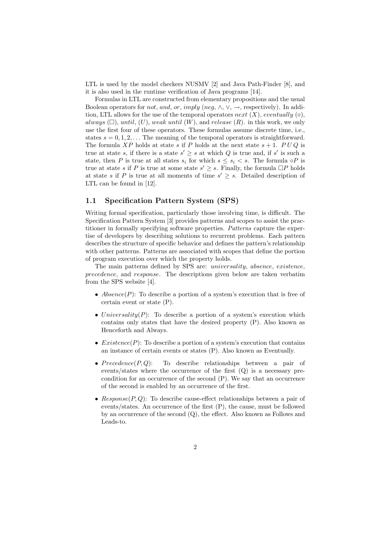LTL is used by the model checkers NUSMV [2] and Java Path-Finder [8], and it is also used in the runtime verification of Java programs [14].

Formulas in LTL are constructed from elementary propositions and the usual Boolean operators for *not*, and, or, imply (neg,  $\wedge$ ,  $\vee$ ,  $\rightarrow$ , respectively). In addition, LTL allows for the use of the temporal operators next  $(X)$ , eventually  $(\diamond)$ , always  $(\Box)$ , until,  $(U)$ , weak until  $(W)$ , and release  $(R)$ . in this work, we only use the first four of these operators. These formulas assume discrete time, i.e., states  $s = 0, 1, 2, \ldots$  The meaning of the temporal operators is straightforward. The formula XP holds at state s if P holds at the next state  $s + 1$ . PUQ is true at state s, if there is a state  $s' \geq s$  at which Q is true and, if s' is such a state, then P is true at all states  $s_i$  for which  $s \leq s_i < s$ . The formula  $\diamond P$  is true at state s if P is true at some state  $s' \geq s$ . Finally, the formula  $\Box P$  holds at state s if P is true at all moments of time  $s' \geq s$ . Detailed description of LTL can be found in [12].

#### 1.1 Specification Pattern System (SPS)

Writing formal specification, particularly those involving time, is difficult. The Specification Pattern System [3] provides patterns and scopes to assist the practitioner in formally specifying software properties. Patterns capture the expertise of developers by describing solutions to recurrent problems. Each pattern describes the structure of specific behavior and defines the pattern's relationship with other patterns. Patterns are associated with scopes that define the portion of program execution over which the property holds.

The main patterns defined by SPS are: universality, absence, existence, precedence, and response. The descriptions given below are taken verbatim from the SPS website [4].

- Absence(P): To describe a portion of a system's execution that is free of certain event or state (P).
- Universality $(P)$ : To describe a portion of a system's execution which contains only states that have the desired property (P). Also known as Henceforth and Always.
- *Existence*( $P$ ): To describe a portion of a system's execution that contains an instance of certain events or states (P). Also known as Eventually.
- Precedence $(P,Q)$ : To describe relationships between a pair of events/states where the occurrence of the first (Q) is a necessary precondition for an occurrence of the second (P). We say that an occurrence of the second is enabled by an occurrence of the first.
- Response( $P, Q$ ): To describe cause-effect relationships between a pair of events/states. An occurrence of the first (P), the cause, must be followed by an occurrence of the second (Q), the effect. Also known as Follows and Leads-to.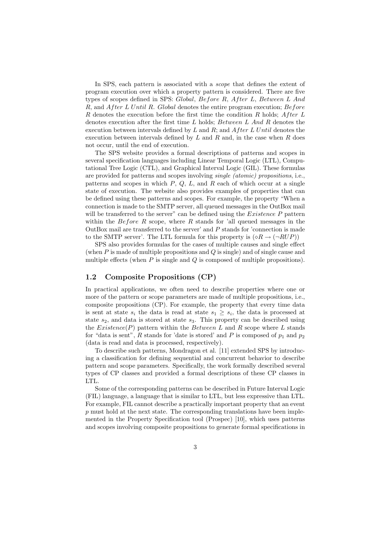In SPS, each pattern is associated with a *scope* that defines the extent of program execution over which a property pattern is considered. There are five types of scopes defined in SPS: Global, Before R, After L, Between L And  $R$ , and  $After L Until R$ . Global denotes the entire program execution;  $Before$  $R$  denotes the execution before the first time the condition  $R$  holds;  $After L$ denotes execution after the first time  $L$  holds;  $Between\ L\ And\ R$  denotes the execution between intervals defined by  $L$  and  $R$ ; and  $After L Until$  denotes the execution between intervals defined by  $L$  and  $R$  and, in the case when  $R$  does not occur, until the end of execution.

The SPS website provides a formal descriptions of patterns and scopes in several specification languages including Linear Temporal Logic (LTL), Computational Tree Logic (CTL), and Graphical Interval Logic (GIL). These formulas are provided for patterns and scopes involving single (atomic) propositions, i.e., patterns and scopes in which  $P, Q, L$ , and  $R$  each of which occur at a single state of execution. The website also provides examples of properties that can be defined using these patterns and scopes. For example, the property "When a connection is made to the SMTP server, all queued messages in the OutBox mail will be transferred to the server" can be defined using the *Existence P* pattern within the Before R scope, where R stands for 'all queued messages in the OutBox mail are transferred to the server' and P stands for 'connection is made to the SMTP server'. The LTL formula for this property is  $(\Diamond R \rightarrow (\neg RUP))$ 

SPS also provides formulas for the cases of multiple causes and single effect (when P is made of multiple propositions and Q is single) and of single cause and multiple effects (when  $P$  is single and  $Q$  is composed of multiple propositions).

#### 1.2 Composite Propositions (CP)

In practical applications, we often need to describe properties where one or more of the pattern or scope parameters are made of multiple propositions, i.e., composite propositions (CP). For example, the property that every time data is sent at state  $s_i$  the data is read at state  $s_1 \geq s_i$ , the data is processed at state  $s_2$ , and data is stored at state  $s_3$ . This property can be described using the  $Existence(P)$  pattern within the Between L and R scope where L stands for "data is sent", R stands for 'date is stored' and P is composed of  $p_1$  and  $p_2$ (data is read and data is processed, respectively).

To describe such patterns, Mondragon et al. [11] extended SPS by introducing a classification for defining sequential and concurrent behavior to describe pattern and scope parameters. Specifically, the work formally described several types of CP classes and provided a formal descriptions of these CP classes in LTL.

Some of the corresponding patterns can be described in Future Interval Logic (FIL) language, a language that is similar to LTL, but less expressive than LTL. For example, FIL cannot describe a practically important property that an event  $p$  must hold at the next state. The corresponding translations have been implemented in the Property Specification tool (Prospec) [10], which uses patterns and scopes involving composite propositions to generate formal specifications in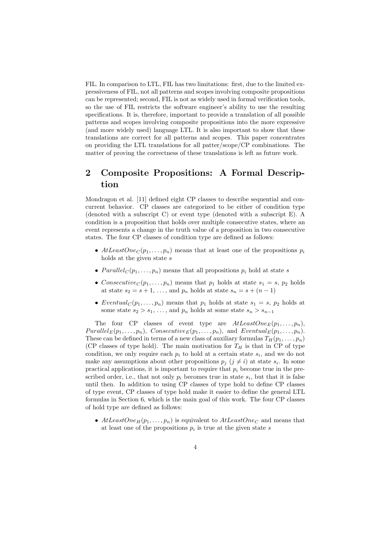FIL. In comparison to LTL, FIL has two limitations: first, due to the limited expressiveness of FIL, not all patterns and scopes involving composite propositions can be represented; second, FIL is not as widely used in formal verification tools, so the use of FIL restricts the software engineer's ability to use the resulting specifications. It is, therefore, important to provide a translation of all possible patterns and scopes involving composite propositions into the more expressive (and more widely used) language LTL. It is also important to show that these translations are correct for all patterns and scopes. This paper concentrates on providing the LTL translations for all patter/scope/CP combinations. The matter of proving the correctness of these translations is left as future work.

# 2 Composite Propositions: A Formal Description

Mondragon et al. [11] defined eight CP classes to describe sequential and concurrent behavior. CP classes are categorized to be either of condition type (denoted with a subscript C) or event type (denoted with a subscript E). A condition is a proposition that holds over multiple consecutive states, where an event represents a change in the truth value of a proposition in two consecutive states. The four CP classes of condition type are defined as follows:

- AtLeastOne<sub>C</sub> $(p_1, \ldots, p_n)$  means that at least one of the propositions  $p_i$ holds at the given state s
- $Parallel_C(p_1, \ldots, p_n)$  means that all propositions  $p_i$  hold at state s
- Consecutive<sub>C</sub> $(p_1, \ldots, p_n)$  means that  $p_1$  holds at state  $s_1 = s$ ,  $p_2$  holds at state  $s_2 = s + 1, \ldots$ , and  $p_n$  holds at state  $s_n = s + (n - 1)$
- Eventual<sub>C</sub> $(p_1, \ldots, p_n)$  means that  $p_1$  holds at state  $s_1 = s$ ,  $p_2$  holds at some state  $s_2 > s_1, \ldots$ , and  $p_n$  holds at some state  $s_n > s_{n-1}$

The four CP classes of event type are  $AtLeastOne_E(p_1, \ldots, p_n)$ ,  $Parallel_E(p_1, \ldots, p_n), \text{ } consecutive_E(p_1, \ldots, p_n), \text{ and } Eventual_E(p_1, \ldots, p_n).$ These can be defined in terms of a new class of auxiliary formulas  $T_H(p_1, \ldots, p_n)$ (CP classes of type hold). The main motivation for  $T_H$  is that in CP of type condition, we only require each  $p_i$  to hold at a certain state  $s_i$ , and we do not make any assumptions about other propositions  $p_j$   $(j \neq i)$  at state  $s_i$ . In some practical applications, it is important to require that  $p_i$  become true in the prescribed order, i.e., that not only  $p_i$  becomes true in state  $s_i$ , but that it is false until then. In addition to using CP classes of type hold to define CP classes of type event, CP classes of type hold make it easier to define the general LTL formulas in Section 6, which is the main goal of this work. The four CP classes of hold type are defined as follows:

•  $AtLeastOne_H(p_1, \ldots, p_n)$  is equivalent to  $AtLeastOne_C$  and means that at least one of the propositions  $p_i$  is true at the given state s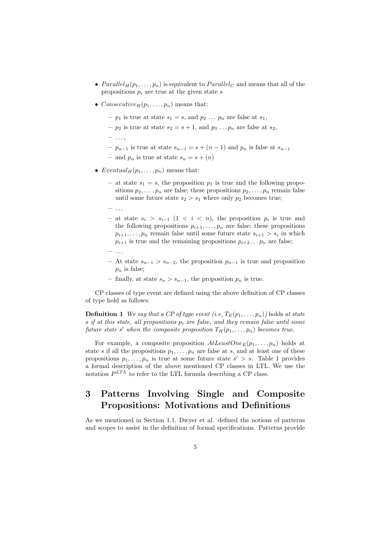- $Parallel_H(p_1, \ldots, p_n)$  is equivalent to  $Parallel_C$  and means that all of the propositions  $p_i$  are true at the given state  $s$
- Consecutive<sub>H</sub> $(p_1, \ldots, p_n)$  means that:
	- $p_1$  is true at state  $s_1 = s$ , and  $p_2 \ldots p_n$  are false at  $s_1$ ,
	- $p_2$  is true at state  $s_2 = s + 1$ , and  $p_3 \dots p_n$  are false at  $s_2$ ,
	- $-$  ...,
	- $-p_{n-1}$  is true at state  $s_{n-1} = s + (n-1)$  and  $p_n$  is false at  $s_{n-1}$
	- and  $p_n$  is true at state  $s_n = s + (n)$
- Eventual<sub>H</sub> $(p_1, \ldots, p_n)$  means that:
	- at state  $s_1 = s$ , the proposition  $p_1$  is true and the following propositions  $p_2, \ldots, p_n$  are false; these propositions  $p_2, \ldots, p_n$  remain false until some future state  $s_2 > s_1$  where only  $p_2$  becomes true;
	- $-$  ...
	- $-$  at state  $s_i > s_{i-1}$  (1 < i < n), the proposition  $p_i$  is true and the following propositions  $p_{i+1}, \ldots, p_n$  are false; these propositions  $p_{i+1}, \ldots, p_n$  remain false until some future state  $s_{i+1} > s_i$  in which  $p_{i+1}$  is true and the remaining propositions  $p_{i+2} \ldots p_n$  are false;
	- $-$  ...
	- − At state  $s_{n-1} > s_{n-2}$ , the proposition  $p_{n-1}$  is true and proposition  $p_n$  is false;
	- finally, at state  $s_n > s_{n-1}$ , the proposition  $p_n$  is true.

CP classes of type event are defined using the above definition of CP classes of type hold as follows:

**Definition 1** We say that a CP of type event (i.e,  $T_E(p_1, \ldots, p_n)$ ) holds at state s if at this state, all propositions  $p_i$  are false, and they remain false until some future state s' when the composite proposition  $T_H(p_1, \ldots, p_n)$  becomes true.

For example, a composite proposition  $AtLeastOne_E(p_1, \ldots, p_n)$  holds at state s if all the propositions  $p_1, \ldots, p_n$  are false at s, and at least one of these propositions  $p_1, \ldots, p_n$  is true at some future state  $s' > s$ . Table 1 provides a formal description of the above mentioned CP classes in LTL. We use the notation  $P^{LTL}$  to refer to the LTL formula describing a CP class.

# 3 Patterns Involving Single and Composite Propositions: Motivations and Definitions

As we mentioned in Section 1.1, Dwyer et al. defined the notions of patterns and scopes to assist in the definition of formal specifications. Patterns provide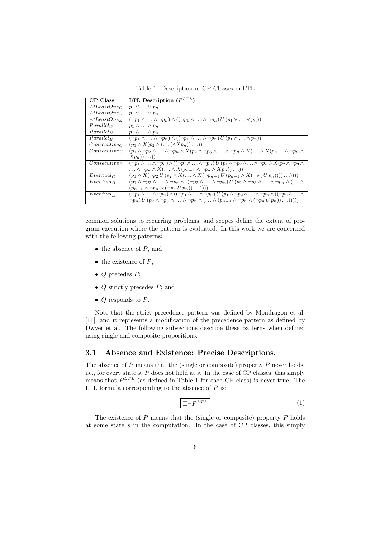Table 1: Description of CP Classes in LTL

| CP Class                | LTL Description $(P^{LTL})$                                                                                                                                                             |
|-------------------------|-----------------------------------------------------------------------------------------------------------------------------------------------------------------------------------------|
| AtLeastOne <sub>C</sub> | $p_1 \vee \ldots \vee p_n$                                                                                                                                                              |
| AtLeastOne <sub>H</sub> | $p_1 \vee \ldots \vee p_n$                                                                                                                                                              |
| AtLeastOne <sub>E</sub> | $(\neg p_1 \land \ldots \land \neg p_n) \land ((\neg p_1 \land \ldots \land \neg p_n) U (p_1 \lor \ldots \lor p_n))$                                                                    |
| $Parallel_C$            | $p_1 \wedge \ldots \wedge p_n$                                                                                                                                                          |
| Parallel <sub>H</sub>   | $p_1 \wedge \ldots \wedge p_n$                                                                                                                                                          |
| $Parallel_{E}$          | $(\neg p_1 \land \ldots \land \neg p_n) \land ((\neg p_1 \land \ldots \land \neg p_n) U (p_1 \land \ldots \land p_n))$                                                                  |
| $Consecutive_C$         | $(p_1 \wedge X(p_2 \wedge (\ldots (\wedge Xp_n)) \ldots))$                                                                                                                              |
| $Consecutive_{H}$       | $(p_1 \wedge \neg p_2 \wedge \ldots \wedge \neg p_n \wedge X(p_2 \wedge \neg p_3 \wedge \ldots \wedge \neg p_n \wedge X(\ldots \wedge X(p_{n-1} \wedge \neg p_n \wedge$                 |
|                         | $(Xp_n))\ldots))$                                                                                                                                                                       |
| $Consecutive_E$         | $(\neg p_1 \wedge \ldots \wedge \neg p_n) \wedge ((\neg p_1 \wedge \ldots \wedge \neg p_n) U(p_1 \wedge \neg p_2 \wedge \ldots \wedge \neg p_n \wedge X(p_2 \wedge \neg p_3 \wedge$     |
|                         | $\ldots \wedge \neg p_n \wedge X(\ldots \wedge X(p_{n-1} \wedge \neg p_n \wedge Xp_n)) \ldots))$                                                                                        |
| $Eventual_C$            | $(p_1 \wedge X(\neg p_2 U(p_2 \wedge X(\ldots \wedge X(\neg p_{n-1} U(p_{n-1} \wedge X(\neg p_n U p_n))))\ldots))))$                                                                    |
| Eventual <sub>H</sub>   | $(p_1 \wedge \neg p_2 \wedge \ldots \wedge \neg p_n \wedge ((\neg p_2 \wedge \ldots \wedge \neg p_n) U (p_2 \wedge \neg p_3 \wedge \ldots \wedge \neg p_n \wedge (\ldots \wedge$        |
|                         | $(p_{n-1} \wedge \neg p_n \wedge (\neg p_n U p_n)) \dots ))$                                                                                                                            |
| $Eventual_F$            | $(\neg p_1 \wedge \ldots \wedge \neg p_n) \wedge ((\neg p_1 \wedge \ldots \wedge \neg p_n) U (p_1 \wedge \neg p_2 \wedge \ldots \wedge \neg p_n \wedge ((\neg p_2 \wedge \ldots \wedge$ |
|                         | $\neg p_n$ ) $U(p_2 \wedge \neg p_3 \wedge \ldots \wedge \neg p_n \wedge (\ldots \wedge (p_{n-1} \wedge \neg p_n \wedge (\neg p_n U p_n)) \ldots))))$                                   |

common solutions to recurring problems, and scopes define the extent of program execution where the pattern is evaluated. In this work we are concerned with the following patterns:

- $\bullet$  the absence of  $P$ , and
- $\bullet$  the existence of  $P$ ,
- $Q$  precedes  $P$ ;
- $Q$  strictly precedes  $P$ ; and
- $Q$  responds to  $P$ .

Note that the strict precedence pattern was defined by Mondragon et al. [11], and it represents a modification of the precedence pattern as defined by Dwyer et al. The following subsections describe these patterns when defined using single and composite propositions.

#### 3.1 Absence and Existence: Precise Descriptions.

The absence of  $P$  means that the (single or composite) property  $P$  never holds, i.e., for every state s, P does not hold at s. In the case of CP classes, this simply means that  $P^{LTL}$  (as defined in Table 1 for each CP class) is never true. The LTL formula corresponding to the absence of  $P$  is:

$$
\Box \neg P^{LTL} \tag{1}
$$

The existence of  $P$  means that the (single or composite) property  $P$  holds at some state  $s$  in the computation. In the case of CP classes, this simply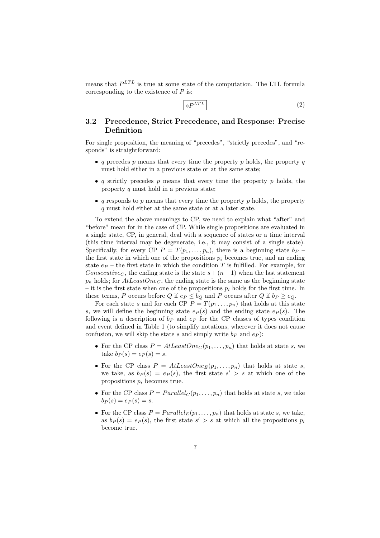means that  $P^{LTL}$  is true at some state of the computation. The LTL formula corresponding to the existence of  $P$  is:

 $\Diamond P^{LTL}$  (2)

### 3.2 Precedence, Strict Precedence, and Response: Precise Definition

For single proposition, the meaning of "precedes", "strictly precedes", and "responds" is straightforward:

- q precedes p means that every time the property p holds, the property q must hold either in a previous state or at the same state;
- q strictly precedes p means that every time the property p holds, the property  $q$  must hold in a previous state;
- q responds to p means that every time the property p holds, the property q must hold either at the same state or at a later state.

To extend the above meanings to CP, we need to explain what "after" and "before" mean for in the case of CP. While single propositions are evaluated in a single state, CP, in general, deal with a sequence of states or a time interval (this time interval may be degenerate, i.e., it may consist of a single state). Specifically, for every CP  $P = T(p_1, \ldots, p_n)$ , there is a beginning state  $b_P$  – the first state in which one of the propositions  $p_i$  becomes true, and an ending state  $e_P$  – the first state in which the condition T is fulfilled. For example, for Consecutive<sub>C</sub>, the ending state is the state  $s + (n-1)$  when the last statement  $p_n$  holds; for  $AtLeastOne<sub>C</sub>$ , the ending state is the same as the beginning state – it is the first state when one of the propositions  $p_i$  holds for the first time. In these terms, P occurs before Q if  $e_P \leq b_Q$  and P occurs after Q if  $b_P \geq e_Q$ .

For each state s and for each CP  $P = T(p_1, ..., p_n)$  that holds at this state s, we will define the beginning state  $e_P(s)$  and the ending state  $e_P(s)$ . The following is a description of  $b_P$  and  $e_P$  for the CP classes of types condition and event defined in Table 1 (to simplify notations, wherever it does not cause confusion, we will skip the state s and simply write  $b_P$  and  $e_P$ ):

- For the CP class  $P = AtLeastOne_C(p_1, \ldots, p_n)$  that holds at state s, we take  $b_P(s) = e_P(s) = s$ .
- For the CP class  $P = AtLeastOne_E(p_1, \ldots, p_n)$  that holds at state s, we take, as  $b_P(s) = e_P(s)$ , the first state  $s' > s$  at which one of the propositions  $p_i$  becomes true.
- For the CP class  $P = Parallel_C(p_1, \ldots, p_n)$  that holds at state s, we take  $b_P(s) = e_P(s) = s.$
- For the CP class  $P = Parallel_E(p_1, \ldots, p_n)$  that holds at state s, we take, as  $b_P(s) = e_P(s)$ , the first state  $s' > s$  at which all the propositions  $p_i$ become true.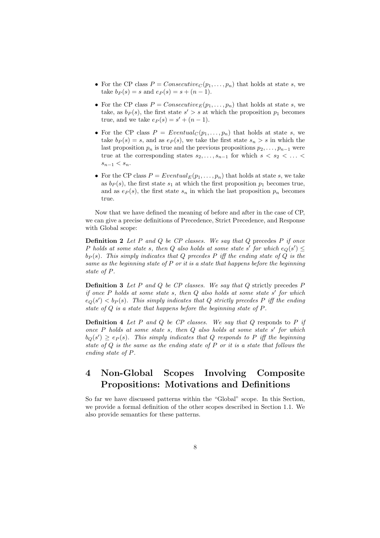- For the CP class  $P = Consecutive_C(p_1, \ldots, p_n)$  that holds at state s, we take  $b_P(s) = s$  and  $e_P(s) = s + (n - 1)$ .
- For the CP class  $P = Consecutive_E(p_1, \ldots, p_n)$  that holds at state s, we take, as  $b_P(s)$ , the first state  $s' > s$  at which the proposition  $p_1$  becomes true, and we take  $e_P(s) = s' + (n - 1)$ .
- For the CP class  $P = Eventually(p_1, \ldots, p_n)$  that holds at state s, we take  $b_P(s) = s$ , and as  $e_P(s)$ , we take the first state  $s_n > s$  in which the last proposition  $p_n$  is true and the previous propositions  $p_2, \ldots, p_{n-1}$  were true at the corresponding states  $s_2, \ldots, s_{n-1}$  for which  $s \lt s_2 \lt \ldots \lt s_n$  $s_{n-1} < s_n$ .
- For the CP class  $P = Eventual_E(p_1, \ldots, p_n)$  that holds at state s, we take as  $b_P(s)$ , the first state  $s_1$  at which the first proposition  $p_1$  becomes true, and as  $e_P(s)$ , the first state  $s_n$  in which the last proposition  $p_n$  becomes true.

Now that we have defined the meaning of before and after in the case of CP, we can give a precise definitions of Precedence, Strict Precedence, and Response with Global scope:

**Definition 2** Let  $P$  and  $Q$  be  $CP$  classes. We say that  $Q$  precedes  $P$  if once P holds at some state s, then Q also holds at some state s' for which  $e_Q(s') \leq$  $b_P(s)$ . This simply indicates that Q precedes P iff the ending state of Q is the same as the beginning state of  $P$  or it is a state that happens before the beginning state of P.

**Definition 3** Let P and Q be CP classes. We say that  $Q$  strictly precedes P if once  $P$  holds at some state  $s$ , then  $Q$  also holds at some state  $s'$  for which  $e_Q(s') < b_P(s)$ . This simply indicates that Q strictly precedes P iff the ending state of Q is a state that happens before the beginning state of P.

**Definition 4** Let P and Q be CP classes. We say that  $Q$  responds to P if once  $P$  holds at some state  $s$ , then  $Q$  also holds at some state  $s'$  for which  $b_Q(s') \geq e_P(s)$ . This simply indicates that Q responds to P iff the beginning state of  $Q$  is the same as the ending state of  $P$  or it is a state that follows the ending state of P.

# 4 Non-Global Scopes Involving Composite Propositions: Motivations and Definitions

So far we have discussed patterns within the "Global" scope. In this Section, we provide a formal definition of the other scopes described in Section 1.1. We also provide semantics for these patterns.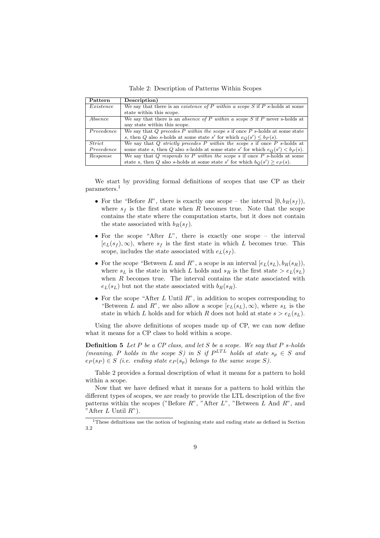Table 2: Description of Patterns Within Scopes

| Pattern    | Description)                                                                        |
|------------|-------------------------------------------------------------------------------------|
| Existence  | We say that there is an <i>existence of P within a scope</i> S if P s-holds at some |
|            | state within this scope.                                                            |
| Absence    | We say that there is an absence of P within a scope S if P never s-holds at         |
|            | any state within this scope.                                                        |
| Precedence | We say that Q precedes P within the scope s if once $P$ s-holds at some state       |
|            | s, then Q also s-holds at some state s' for which $e_Q(s') \leq b_P(s)$ .           |
| Strict     | We say that Q strictly precedes P within the scope s if once P s-holds at           |
| Precedence | some state s, then Q also s-holds at some state s' for which $e_O(s') < b_P(s)$ .   |
| Response   | We say that $Q$ responds to $P$ within the scope $s$ if once $P$ s-holds at some    |
|            | state s, then Q also s-holds at some state s' for which $b_O(s') \geq e_P(s)$ .     |

We start by providing formal definitions of scopes that use CP as their parameters.<sup>1</sup>

- For the "Before R", there is exactly one scope the interval  $[0, b_R(s_f))$ , where  $s_f$  is the first state when R becomes true. Note that the scope contains the state where the computation starts, but it does not contain the state associated with  $b_R(s_f)$ .
- For the scope "After  $L$ ", there is exactly one scope the interval  $[e_L(s_f), \infty)$ , where  $s_f$  is the first state in which L becomes true. This scope, includes the state associated with  $e_L(s_f)$ .
- For the scope "Between L and R", a scope is an interval  $[e_L(s_L), b_R(s_R)]$ , where  $s_L$  is the state in which L holds and  $s_R$  is the first state  $> e_L(s_L)$ when  $R$  becomes true. The interval contains the state associated with  $e_L(s_L)$  but not the state associated with  $b_R(s_R)$ .
- For the scope "After  $L$  Until  $R$ ", in addition to scopes corresponding to "Between L and R", we also allow a scope  $[e_L(s_L), \infty)$ , where  $s_L$  is the state in which L holds and for which R does not hold at state  $s > e_L(s_L)$ .

Using the above definitions of scopes made up of CP, we can now define what it means for a CP class to hold within a scope.

**Definition 5** Let P be a CP class, and let S be a scope. We say that P s-holds (meaning, P holds in the scope S) in S if  $P^{LTL}$  holds at state  $s_p \in S$  and  $e_P(s_P) \in S$  (i.e. ending state  $e_P(s_p)$  belongs to the same scope S).

Table 2 provides a formal description of what it means for a pattern to hold within a scope.

Now that we have defined what it means for a pattern to hold within the different types of scopes, we are ready to provide the LTL description of the five patterns within the scopes ("Before  $R$ ", "After  $L$ ", "Between  $L$  And  $R$ ", and "After  $L$  Until  $R$ ").

<sup>1</sup>These definitions use the notion of beginning state and ending state as defined in Section 3.2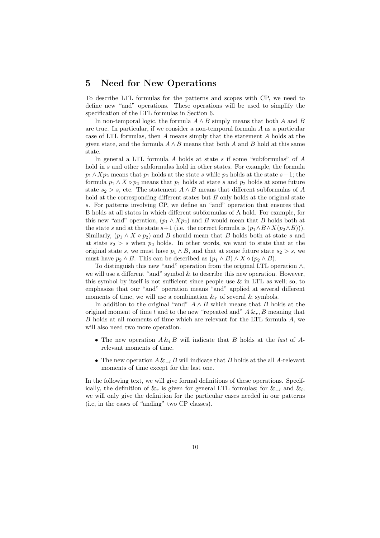## 5 Need for New Operations

To describe LTL formulas for the patterns and scopes with CP, we need to define new "and" operations. These operations will be used to simplify the specification of the LTL formulas in Section 6.

In non-temporal logic, the formula  $A \wedge B$  simply means that both A and B are true. In particular, if we consider a non-temporal formula A as a particular case of LTL formulas, then A means simply that the statement A holds at the given state, and the formula  $A \wedge B$  means that both A and B hold at this same state.

In general a LTL formula A holds at state s if some "subformulas" of A hold in s and other subformulas hold in other states. For example, the formula  $p_1 \wedge Xp_2$  means that  $p_1$  holds at the state s while  $p_2$  holds at the state s+1; the formula  $p_1 \wedge X \diamond p_2$  means that  $p_1$  holds at state s and  $p_2$  holds at some future state  $s_2 > s$ , etc. The statement  $A \wedge B$  means that different subformulas of A hold at the corresponding different states but B only holds at the original state s. For patterns involving CP, we define an "and" operation that ensures that B holds at all states in which different subformulas of A hold. For example, for this new "and" operation,  $(p_1 \wedge Xp_2)$  and B would mean that B holds both at the state s and at the state s+1 (i.e. the correct formula is  $(p_1 \wedge B \wedge X(p_2 \wedge B))$ ). Similarly,  $(p_1 \wedge X \otimes p_2)$  and B should mean that B holds both at state s and at state  $s_2 > s$  when  $p_2$  holds. In other words, we want to state that at the original state s, we must have  $p_1 \wedge B$ , and that at some future state  $s_2 > s$ , we must have  $p_2 \wedge B$ . This can be described as  $(p_1 \wedge B) \wedge X \diamond (p_2 \wedge B)$ .

To distinguish this new "and" operation from the original LTL operation ∧, we will use a different "and" symbol & to describe this new operation. However, this symbol by itself is not sufficient since people use  $\&$  in LTL as well; so, to emphasize that our "and" operation means "and" applied at several different moments of time, we will use a combination  $\&_{r}$  of several  $\&$  symbols.

In addition to the original "and"  $A \wedge B$  which means that B holds at the original moment of time t and to the new "repeated and"  $A \&_{r}$ , B meaning that B holds at all moments of time which are relevant for the LTL formula A, we will also need two more operation.

- The new operation  $A \& B$  will indicate that B holds at the last of Arelevant moments of time.
- The new operation  $A \&_{-l} B$  will indicate that B holds at the all A-relevant moments of time except for the last one.

In the following text, we will give formal definitions of these operations. Specifically, the definition of  $\&_{r}$  is given for general LTL formulas; for  $\&_{-l}$  and  $\&_{l}$ , we will only give the definition for the particular cases needed in our patterns (i.e, in the cases of "anding" two CP classes).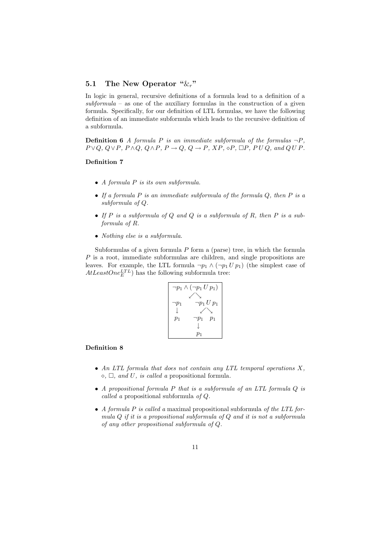### 5.1 The New Operator " $\&_r$ "

In logic in general, recursive definitions of a formula lead to a definition of a  $subformula -$  as one of the auxiliary formulas in the construction of a given formula. Specifically, for our definition of LTL formulas, we have the following definition of an immediate subformula which leads to the recursive definition of a subformula.

**Definition 6** A formula P is an immediate subformula of the formulas  $\neg P$ ,  $P \vee Q$ ,  $Q \vee P$ ,  $P \wedge Q$ ,  $Q \wedge P$ ,  $P \rightarrow Q$ ,  $Q \rightarrow P$ ,  $XP$ ,  $\diamond P$ ,  $\Box P$ ,  $P \cup Q$ , and  $Q \cup P$ .

#### Definition 7

- $\bullet$  A formula  $P$  is its own subformula.
- If a formula  $P$  is an immediate subformula of the formula  $Q$ , then  $P$  is a subformula of Q.
- If  $P$  is a subformula of  $Q$  and  $Q$  is a subformula of  $R$ , then  $P$  is a subformula of R.
- Nothing else is a subformula.

Subformulas of a given formula  $P$  form a (parse) tree, in which the formula P is a root, immediate subformulas are children, and single propositions are leaves. For example, the LTL formula  $\neg p_1 \wedge (\neg p_1 U p_1)$  (the simplest case of  $AtLeastOne<sub>E</sub><sup>LTL</sup>$  has the following subformula tree:



#### Definition 8

- An LTL formula that does not contain any LTL temporal operations  $X$ ,  $\Diamond$ ,  $\Box$ , and U, is called a propositional formula.
- A propositional formula P that is a subformula of an LTL formula Q is called a propositional subformula of Q.
- A formula  $P$  is called a maximal propositional subformula of the LTL formula Q if it is a propositional subformula of Q and it is not a subformula of any other propositional subformula of Q.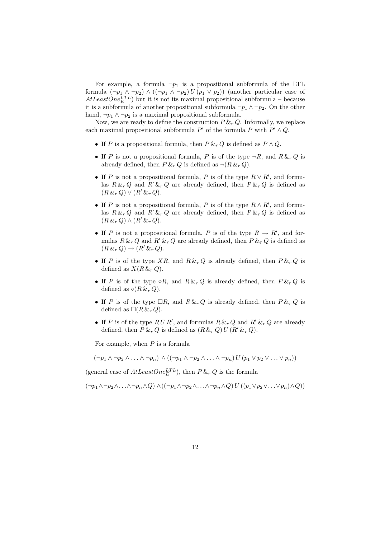For example, a formula  $\neg p_1$  is a propositional subformula of the LTL formula  $(\neg p_1 \land \neg p_2) \land ((\neg p_1 \land \neg p_2) U (p_1 \lor p_2))$  (another particular case of  $AtLeastOne<sub>E</sub><sup>TTL</sup>$  but it is not its maximal propositional subformula – because it is a subformula of another propositional subformula  $\neg p_1 \wedge \neg p_2$ . On the other hand,  $\neg p_1 \wedge \neg p_2$  is a maximal propositional subformula.

Now, we are ready to define the construction  $P \&_{r} Q$ . Informally, we replace each maximal propositional subformula  $P'$  of the formula P with  $P' \wedge Q$ .

- If P is a propositional formula, then  $P \&_{r} Q$  is defined as  $P \wedge Q$ .
- If P is not a propositional formula, P is of the type  $\neg R$ , and  $R \&_{r} Q$  is already defined, then  $P \&_{r} Q$  is defined as  $\neg (R \&_{r} Q)$ .
- If P is not a propositional formula, P is of the type  $R \vee R'$ , and formulas  $R \&_{r} Q$  and  $R' \&_{r} Q$  are already defined, then  $P \&_{r} Q$  is defined as  $(R \&_{r} Q) \vee (R' \&_{r} Q).$
- If P is not a propositional formula, P is of the type  $R \wedge R'$ , and formulas  $R \&_{r} Q$  and  $R' \&_{r} Q$  are already defined, then  $P \&_{r} Q$  is defined as  $(R \&_{r} Q) \wedge (R' \&_{r} Q).$
- If P is not a propositional formula, P is of the type  $R \to R'$ , and formulas  $R \&_{r} Q$  and  $R' \&_{r} Q$  are already defined, then  $P \&_{r} Q$  is defined as  $(R \&_{r} Q) \rightarrow (R' \&_{r} Q).$
- If P is of the type XR, and  $R \&_{r} Q$  is already defined, then  $P \&_{r} Q$  is defined as  $X(R \&_{r} Q)$ .
- If P is of the type  $\circ R$ , and  $R \& R \& Q$  is already defined, then  $P \& R \& Q$  is defined as  $\diamond (R \& r Q)$ .
- If P is of the type  $\Box R$ , and  $R \& R \& Q$  is already defined, then  $P \& R \& Q$  is defined as  $\Box(R\&R\cdot Q)$ .
- If P is of the type  $RUR'$ , and formulas  $R \&_{r} Q$  and  $R' \&_{r} Q$  are already defined, then  $P \&_{r} Q$  is defined as  $(R \&_{r} Q) U (R' \&_{r} Q)$ .

For example, when  $P$  is a formula

 $(\neg p_1 \land \neg p_2 \land \ldots \land \neg p_n) \land ((\neg p_1 \land \neg p_2 \land \ldots \land \neg p_n) U (p_1 \lor p_2 \lor \ldots \lor p_n))$ 

(general case of  $AtLeastOne<sub>E</sub><sup>TT</sup>$ ), then  $P \&_{r} Q$  is the formula

 $(\neg p_1 \land \neg p_2 \land \ldots \land \neg p_n \land Q) \land ((\neg p_1 \land \neg p_2 \land \ldots \land \neg p_n \land Q) U ((p_1 \lor p_2 \lor \ldots \lor p_n) \land Q))$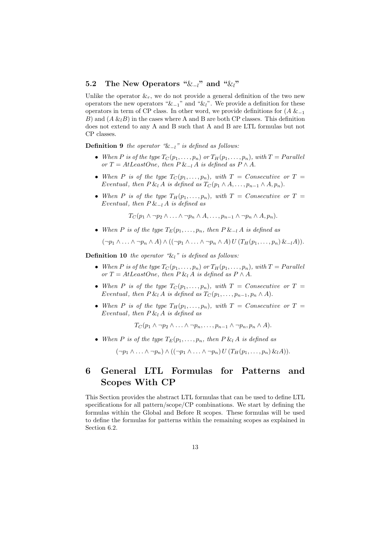### 5.2 The New Operators " $\&_1$ " and " $\&_1$ "

Unlike the operator  $\&_{r}$ , we do not provide a general definition of the two new operators the new operators " $\&_{-1}$ " and " $\&_{l}$ ". We provide a definition for these operators in term of CP class. In other word, we provide definitions for  $(A \&_{-1})$ B) and  $(A \& B)$  in the cases where A and B are both CP classes. This definition does not extend to any A and B such that A and B are LTL formulas but not CP classes.

**Definition 9** the operator " $\&_{-l}$ " is defined as follows:

- When P is of the type  $T_C(p_1,\ldots,p_n)$  or  $T_H(p_1,\ldots,p_n)$ , with  $T = Parallel$ or T = AtLeastOne, then  $P \&_{-l} A$  is defined as  $P \wedge A$ .
- When P is of the type  $T_C(p_1,\ldots,p_n)$ , with  $T = \text{Consecutive or } T =$ Eventual, then  $P \& A$  is defined as  $T_C(p_1 \wedge A, \ldots, p_{n-1} \wedge A, p_n)$ .
- When P is of the type  $T_H(p_1, \ldots, p_n)$ , with  $T =$  Consecutive or  $T =$ Eventual, then  $P \&_{-l} A$  is defined as

 $T_C(p_1 \wedge \neg p_2 \wedge \ldots \wedge \neg p_n \wedge A, \ldots, p_{n-1} \wedge \neg p_n \wedge A, p_n).$ 

• When P is of the type  $T_E(p_1, \ldots, p_n)$ , then  $P \&_{-l} A$  is defined as

 $(\neg p_1 \land \ldots \land \neg p_n \land A) \land ((\neg p_1 \land \ldots \land \neg p_n \land A) U (T_H(p_1, \ldots, p_n) \& -_l A)).$ 

**Definition 10** the operator " $\ι$ " is defined as follows:

- When P is of the type  $T_C(p_1,\ldots,p_n)$  or  $T_H(p_1,\ldots,p_n)$ , with  $T = Parallel$ or T = AtLeastOne, then P &<sub>l</sub> A is defined as  $P \wedge A$ .
- When P is of the type  $T_C(p_1,\ldots,p_n)$ , with  $T =$  Consecutive or  $T =$ Eventual, then  $P \& A$  is defined as  $T_C(p_1, \ldots, p_{n-1}, p_n \wedge A)$ .
- When P is of the type  $T_H(p_1,\ldots,p_n)$ , with  $T = \text{Consecutive or } T =$ Eventual, then  $P \& A$  is defined as

 $T_C(p_1 \wedge \neg p_2 \wedge \ldots \wedge \neg p_n, \ldots, p_{n-1} \wedge \neg p_n, p_n \wedge A).$ 

• When P is of the type  $T_E(p_1, \ldots, p_n)$ , then P  $\&_l A$  is defined as

 $(\neg p_1 \land \ldots \land \neg p_n) \land ((\neg p_1 \land \ldots \land \neg p_n) U (T_H(p_1, \ldots, p_n) \&_l A)).$ 

# 6 General LTL Formulas for Patterns and Scopes With CP

This Section provides the abstract LTL formulas that can be used to define LTL specifications for all pattern/scope/CP combinations. We start by defining the formulas within the Global and Before R scopes. These formulas will be used to define the formulas for patterns within the remaining scopes as explained in Section 6.2.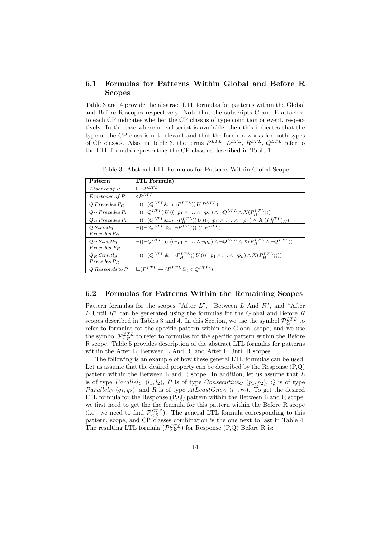### 6.1 Formulas for Patterns Within Global and Before R Scopes

Table 3 and 4 provide the abstract LTL formulas for patterns within the Global and Before R scopes respectively. Note that the subscripts C and E attached to each CP indicates whether the CP class is of type condition or event, respectively. In the case where no subscript is available, then this indicates that the type of the CP class is not relevant and that the formula works for both types of CP classes. Also, in Table 3, the terms  $P^{LTL}$ ,  $L^{LTL}$ ,  $R^{LTL}$ ,  $Q^{LTL}$  refer to the LTL formula representing the CP class as described in Table 1

| Pattern               | LTL Formula)                                                                                                                         |
|-----------------------|--------------------------------------------------------------------------------------------------------------------------------------|
| Absence of P          | $\Box \neg P^{LTL}$                                                                                                                  |
| <i>Existence of P</i> | $\delta P^{LTL}$                                                                                                                     |
| $Q$ Precedes $P_C$    | $\bigcap ((\bigcap (Q^{LTL} \&_{-l} \bigcap P^{LTL})\big) U P^{LTL})$                                                                |
| $Q_C$ Precedes $P_E$  | $\lnot((\lnot Q^{LTL}) U ((\lnot p_1 \land \ldots \land \lnot p_n) \land \lnot Q^{LTL} \land X(P_H^{LTL}))$                          |
| $Q_E$ Precedes $P_E$  | $\neg((\neg(Q^{LTL}\&_{-l}\neg P_H^{LTL})) U (((\neg p_1 \land \dots \land \neg p_n) \land X (P_H^{LTL}))))$                         |
| Q Strictly            | $\bigcap ((\bigcap (Q^{LTL} \&_{r} \bigcap P^{LTL})\big) U P^{LTL})$                                                                 |
| $Precedes P_C$        |                                                                                                                                      |
| $Q_C$ Strictly        | $\lnot((\lnot Q^{LTL}) U ((\lnot p_1 \wedge \ldots \wedge \lnot p_n) \wedge \lnot Q^{LTL} \wedge X(P_H^{LTL} \wedge \lnot Q^{LTL}))$ |
| $Precedes P_E$        |                                                                                                                                      |
| $Q_E$ Strictly        | $\neg((\neg(Q^{LTL} \& _r \neg P_H^{LTL})) U (((\neg p_1 \land \ldots \land \neg p_n) \land X(P_H^{LTL}))))$                         |
| $Precedes P_E$        |                                                                                                                                      |
| $Q$ Responds to $P$   | $\Box (P^{LTL} \rightarrow (P^{LTL} \& 1 \diamond Q^{LTL}))$                                                                         |

Table 3: Abstract LTL Formulas for Patterns Within Global Scope

#### 6.2 Formulas for Patterns Within the Remaining Scopes

Pattern formulas for the scopes "After  $L$ ", "Between  $L$  And  $R$ ", and "After L Until  $R^{\prime\prime}$  can be generated using the formulas for the Global and Before R scopes described in Tables 3 and 4. In this Section, we use the symbol  $\mathcal{P}_G^{LTL}$  to refer to formulas for the specific pattern within the Global scope, and we use the symbol  $\mathcal{P}^{\mathcal{LTL}}_{\leq \mathcal{R}}$  to refer to formulas for the specific pattern within the Before R scope. Table 5 provides description of the abstract LTL formulas for patterns within the After L, Between L And R, and After L Until R scopes.

The following is an example of how these general LTL formulas can be used. Let us assume that the desired property can be described by the Response (P,Q) pattern within the Between L and R scope. In addition, let us assume that L is of type  $Parallel_C (l_1, l_2), P$  is of type  $Consecutive_C (p_1, p_2), Q$  is of type *Parallel<sub>C</sub>* ( $q_1, q_2$ ), and R is of type  $AtLeastOne<sub>C</sub>$  ( $r_1, r_2$ ). To get the desired LTL formula for the Response (P,Q) pattern within the Between L and R scope, we first need to get the the formula for this pattern within the Before R scope (i.e. we need to find  $\mathcal{P}_{\leq R}^{\mathcal{L}TL}$ ). The general LTL formula corresponding to this pattern, scope, and CP classes combination is the one next to last in Table 4. The resulting LTL formula  $(\mathcal{P}_{\leq R}^{\mathcal{L} \mathcal{I} \mathcal{L}})$  for Response (P,Q) Before R is: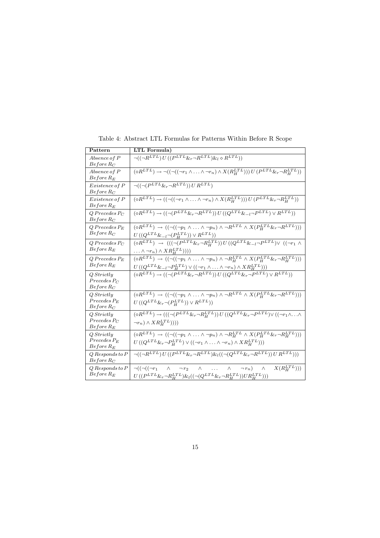| Pattern                                        | LTL Formula)                                                                                                                                                                                                                                                                             |
|------------------------------------------------|------------------------------------------------------------------------------------------------------------------------------------------------------------------------------------------------------------------------------------------------------------------------------------------|
| Absence of P<br>$Before R_C$                   | $\lnot((\lnot R^{LTL})\,U\,((P^{LTL}\&r \lnot R^{LTL})\&l \circ R^{LTL}))$                                                                                                                                                                                                               |
| Absence of P<br>$Before R_E$                   | $(\diamond R^{LTL}) \rightarrow \neg((\neg((\neg r_1 \wedge \ldots \wedge \neg r_n) \wedge X(R^{LTL}_{H})) )\overset{.}{U} (P^{LTL}\&_{r} \neg R^{LTL}_{H}))$                                                                                                                            |
| Existence of P<br>$Before\,R_C$                | $\lnot((\lnot(P^{LTL} \&_r \lnot R^{LTL})) U R^{LTL})$                                                                                                                                                                                                                                   |
| Existence of P<br>$Before R_E$                 | $(\diamond R^{LTL}) \rightarrow ((\neg((\neg r_1 \land \ldots \land \neg r_n) \land X(R_H^{LTL}))) U(P^{LTL} \&_{r} \neg R_H^{LTL}))$                                                                                                                                                    |
| $Q$ Precedes $P_C$<br>$Before R_C$             | $(\diamond R^{LTL}) \rightarrow ((\neg (P^{LTL} \& r \neg R^{LTL})) U ((Q^{LTL} \& -l \neg P^{LTL}) \vee R^{LTL}))$                                                                                                                                                                      |
| $Q$ Precedes $P_E$<br>$Before R_C$             | $(\Diamond R^{LTL}) \rightarrow ((\neg((\neg p_1 \land  \land \neg p_n) \land \neg R^{LTL} \land X(P_H^{LTL} \& r \neg R^{LTL})))$<br>$U((Q^{LTL} \& -l \neg (P_H^{LTL})) \vee R^{LTL}))$                                                                                                |
| $Q$ Precedes P $C$<br>$Before$ $R_E$           | $\left(\diamond R^{LTL}\right) \ \to \ \left(\left(\left(\neg (P^{LTL}\&_{r}\neg R_H^{LTL})\right)U\left((Q^{LTL}\&_{-l}\neg P^{LTL})\vee\right.\right.\\ \left. \left(\left(\neg r_1\wedge\overline{P_H}\right)\right)\right)\right)$<br>$\ldots \wedge \neg r_n) \wedge XR_H^{LTL})))$ |
| $Q$ Precedes $P_E$<br>$Before$ $R_E$           | $(\diamond R^{LTL})\,\to\,(\big(\neg((\neg {p_1}\,\land\, \overline{\ldots\,\land\,} \neg {p_n})\,\land\, \neg R_H^{LTL}\,\land\, X(P_H^{LTL} \&_\tau \neg R_H^{LTL}))\big)$                                                                                                             |
| Q Strictly<br>$Precedes P_C$<br>$Before R_C$   | $\frac{U\left((Q^{LTL}\&_{-l}\neg P_H^{LTL}) \vee ((\neg r_1 \wedge \ldots \wedge \neg r_n) \wedge XR_H^{LTL}))\right)}{(\diamond R^{LTL}) \rightarrow ((\neg (P^{LTL}\&_{r}\neg R^{LTL})) \: U\left((Q^{LTL}\&_{r}\neg P^{LTL}) \vee R^{LTL})\right)}$                                  |
| Q Strictly<br>$Precedes P_E$<br>$Before\,R_C$  | $(\Diamond R^{LTL}) \rightarrow ((\neg ((\neg p_1 \land  \land \neg p_n) \land \neg R^{LTL} \land X(P_H^{LTL} \& r \neg R^{LTL})))$<br>$U((Q^{LTL} \&_{r} \neg (P_H^{LTL})) \vee R^{LTL}))$                                                                                              |
| Q Strictly<br>$Precedes P_C$<br>$Before R_E$   | $(\diamond R^{LTL}) \rightarrow (((\neg (P^{LTL} \& r \neg R_H^{LTL})) U ((Q^{LTL} \& r \neg P^{LTL}) \vee ((\neg r_1 \wedge \ldots \wedge$<br>$\neg r_n) \wedge XR_H^{LTL}$ )))                                                                                                         |
| Q Strictly<br>$Precedes P_E$<br>$Before$ $R_E$ | $(\diamond R^{LTL}) \rightarrow ((\neg ((\neg p_1 \land \ldots \land \neg p_n) \land \neg R_H^{LTL} \land X(P_H^{LTL} \&_r \neg R_H^{LTL})))$<br>$U\left((Q^{LTL}\&_{r} \neg P_H^{LTL}) \vee ((\neg r_1 \wedge \ldots \wedge \neg r_n) \wedge XR_H^{LTL}))\right)$                       |
| $Q$ Responds to $P$<br>$Before R_C$            | $\lnot((\lnot R^{LTL})\,U\,((P^{LTL}\&_\tau \lnot R^{LTL})\&_l((\lnot(Q^{LTL}\&_\tau \lnot R^{LTL}))\,U\,R^{LTL})))$                                                                                                                                                                     |
| $Q$ Responds to $P$<br>$Before$ $R_E$          | $X(R_H^{LTL}))$<br>$\neg((\neg((\neg r_1$<br>$\neg r_n$ )<br>$\wedge$<br>$\wedge$<br>$\wedge$<br>$\wedge$<br>$\neg$ $r_2$<br>$\cdots$<br>$U\left((P^{LTL}\&_{r}\neg R_H^{LTL})\&_{l}((\neg (Q^{LTL}\&_{r}\neg R_H^{LTL}))UR_H^{LTL}))\right)$                                            |

Table 4: Abstract LTL Formulas for Patterns Within Before R Scope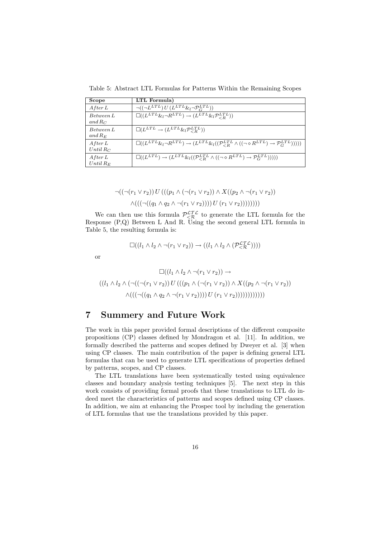Table 5: Abstract LTL Formulas for Patterns Within the Remaining Scopes

| Scope                  | LTL Formula)                                                                                                                                               |
|------------------------|------------------------------------------------------------------------------------------------------------------------------------------------------------|
| After L                | $\lnot ((\lnot L^{LTL}) U (L^{LTL} \& {}_{l} \lnot \mathcal{P}_{C}^{LTL}))$                                                                                |
| Between L<br>and $R_C$ | $\square((L^{LTL}\&l \neg R^{LTL}) \rightarrow (L^{LTL}\&l \mathcal{P}_{\leq R}^{LTL}))$                                                                   |
| Between L<br>and $R_E$ | $\Box(L^{LTL} \rightarrow (L^{LTL} \& l \mathcal{P}_{\geq R}^{LTL}))$                                                                                      |
| After L<br>Until $R_C$ | $\Box((L^{LTL}\&i\neg R^{LTL}) \rightarrow (L^{LTL}\&i\((\mathcal{P}_{\leq R}^{LTL} \wedge ((\neg \diamond R^{LTL}) \rightarrow \mathcal{P}_{G}^{LTL}))))$ |
| After L<br>$Until R_E$ | $\Box((L^{LTL}) \rightarrow (L^{LTL} \& [((\mathcal{P}_{\leq R}^{LTL} \wedge ((\neg \diamond R^{LTL}) \rightarrow \mathcal{P}_{\leq C}^{LTL}))))$          |

$$
\neg((\neg(r_1 \lor r_2)) U (((p_1 \land (\neg(r_1 \lor r_2)) \land X ((p_2 \land \neg(r_1 \lor r_2))
$$

$$
\land (((\neg((q_1 \land q_2 \land \neg(r_1 \lor r_2)))) U (r_1 \lor r_2)))))))
$$

We can then use this formula  $\mathcal{P}_{\leq \mathcal{R}}^{\mathcal{L} \mathcal{I} \mathcal{L}}$  to generate the LTL formula for the Response (P,Q) Between L And R. Using the second general LTL formula in Table 5, the resulting formula is:

$$
\Box((l_1 \land l_2 \land \neg(r_1 \lor r_2)) \rightarrow ((l_1 \land l_2 \land (\mathcal{P}_{\leq \mathcal{R}}^{\mathcal{L}\mathcal{I}\mathcal{L}}))))
$$

or

$$
\Box((l_1 \land l_2 \land \neg(r_1 \lor r_2)) \rightarrow ((l_1 \land l_2 \land (\neg((\neg(r_1 \lor r_2)) U (((p_1 \land (\neg(r_1 \lor r_2)) \land X((p_2 \land \neg(r_1 \lor r_2))) \land ((((\neg((q_1 \land q_2 \land \neg(r_1 \lor r_2))))))))))))))
$$

## 7 Summery and Future Work

The work in this paper provided formal descriptions of the different composite propositions (CP) classes defined by Mondragon et al. [11]. In addition, we formally described the patterns and scopes defined by Dweyer et al. [3] when using CP classes. The main contribution of the paper is defining general LTL formulas that can be used to generate LTL specifications of properties defined by patterns, scopes, and CP classes.

The LTL translations have been systematically tested using equivalence classes and boundary analysis testing techniques [5]. The next step in this work consists of providing formal proofs that these translations to LTL do indeed meet the characteristics of patterns and scopes defined using CP classes. In addition, we aim at enhancing the Prospec tool by including the generation of LTL formulas that use the translations provided by this paper.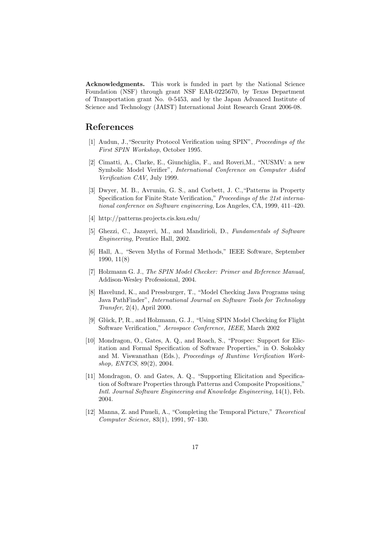Acknowledgments. This work is funded in part by the National Science Foundation (NSF) through grant NSF EAR-0225670, by Texas Department of Transportation grant No. 0-5453, and by the Japan Advanced Institute of Science and Technology (JAIST) International Joint Research Grant 2006-08.

# References

- [1] Audun, J.,"Security Protocol Verification using SPIN", Proceedings of the First SPIN Workshop, October 1995.
- [2] Cimatti, A., Clarke, E., Giunchiglia, F., and Roveri,M., "NUSMV: a new Symbolic Model Verifier", International Conference on Computer Aided Verification CAV, July 1999.
- [3] Dwyer, M. B., Avrunin, G. S., and Corbett, J. C.,"Patterns in Property Specification for Finite State Verification," Proceedings of the 21st international conference on Software engineering, Los Angeles, CA, 1999, 411–420.
- [4] http://patterns.projects.cis.ksu.edu/
- [5] Ghezzi, C., Jazayeri, M., and Mandirioli, D., Fundamentals of Software Engineering, Prentice Hall, 2002.
- [6] Hall, A., "Seven Myths of Formal Methods," IEEE Software, September 1990, 11(8)
- [7] Holzmann G. J., The SPIN Model Checker: Primer and Reference Manual, Addison-Wesley Professional, 2004.
- [8] Havelund, K., and Pressburger, T., "Model Checking Java Programs using Java PathFinder", International Journal on Software Tools for Technology Transfer, 2(4), April 2000.
- [9] Glück, P, R., and Holzmann, G. J., "Using SPIN Model Checking for Flight Software Verification," Aerospace Conference, IEEE, March 2002
- [10] Mondragon, O., Gates, A. Q., and Roach, S., "Prospec: Support for Elicitation and Formal Specification of Software Properties," in O. Sokolsky and M. Viswanathan (Eds.), Proceedings of Runtime Verification Workshop, ENTCS, 89(2), 2004.
- [11] Mondragon, O. and Gates, A. Q., "Supporting Elicitation and Specification of Software Properties through Patterns and Composite Propositions," Intl. Journal Software Engineering and Knowledge Engineering, 14(1), Feb. 2004.
- [12] Manna, Z. and Pnueli, A., "Completing the Temporal Picture," Theoretical Computer Science, 83(1), 1991, 97–130.